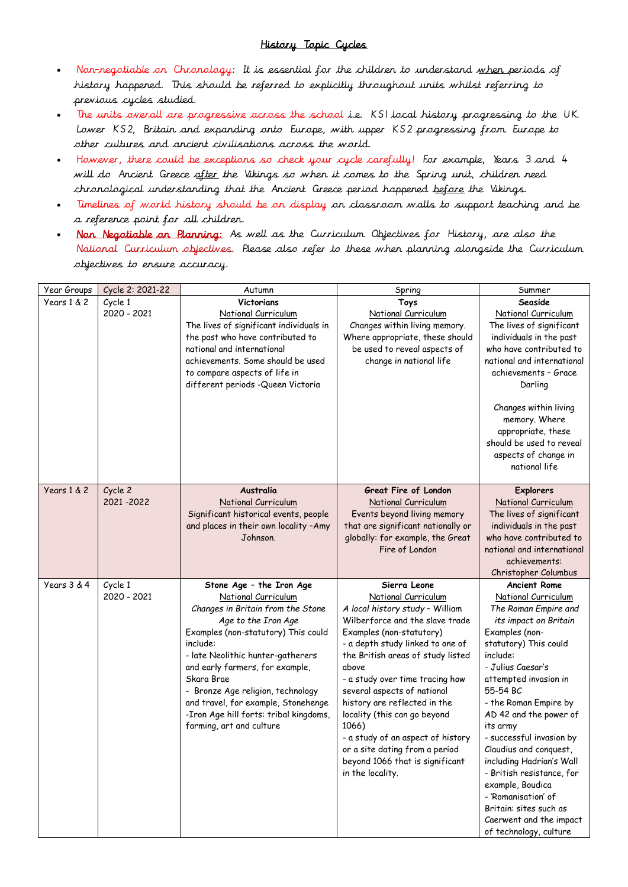## History Topic Cycles

- Non-negotiable on Chronology: It is essential for the children to understand when periods of history happened. This should be referred to explicitly throughout units whilst referring to previous cycles studied.
- The units overall are progressive across the school i.e. KS1 local history progressing to the UK. Lower KS2, Britain and expanding onto Europe, with upper KS2 progressing from Europe to other cultures and ancient civilisations across the world.
- However, there could be exceptions so check your cycle carefully! For example, Years 3 and 4 will do Ancient Greece after the Vikings so when it comes to the Spring unit, children need chronological understanding that the Ancient Greece period happened before the Vikings.
- Timelines of world history should be on display on classroom walls to support teaching and be a reference point for all children.
- Non Negotiable on Planning: As well as the Curriculum Objectives for History, are also the National Curriculum objectives. Please also refer to these when planning alongside the Curriculum objectives to ensure accuracy.

| Year Groups | Cycle 2: 2021-22 | Autumn                                  | Spring                                                            | Summer                                                |
|-------------|------------------|-----------------------------------------|-------------------------------------------------------------------|-------------------------------------------------------|
| Years 1 & 2 | Cycle 1          | Victorians                              | Toys                                                              | Seaside                                               |
|             | 2020 - 2021      | National Curriculum                     | National Curriculum                                               | National Curriculum                                   |
|             |                  | The lives of significant individuals in | Changes within living memory.                                     | The lives of significant                              |
|             |                  | the past who have contributed to        | Where appropriate, these should                                   | individuals in the past                               |
|             |                  | national and international              | be used to reveal aspects of                                      | who have contributed to                               |
|             |                  | achievements. Some should be used       | change in national life                                           | national and international                            |
|             |                  | to compare aspects of life in           |                                                                   | achievements - Grace                                  |
|             |                  | different periods - Queen Victoria      |                                                                   | Darling                                               |
|             |                  |                                         |                                                                   | Changes within living                                 |
|             |                  |                                         |                                                                   | memory. Where                                         |
|             |                  |                                         |                                                                   | appropriate, these                                    |
|             |                  |                                         |                                                                   | should be used to reveal                              |
|             |                  |                                         |                                                                   | aspects of change in                                  |
|             |                  |                                         |                                                                   | national life                                         |
|             |                  |                                         |                                                                   |                                                       |
| Years 1 & 2 | Cycle 2          | Australia                               | Great Fire of London                                              | <b>Explorers</b>                                      |
|             | 2021-2022        | National Curriculum                     | National Curriculum                                               | National Curriculum                                   |
|             |                  | Significant historical events, people   | Events beyond living memory                                       | The lives of significant                              |
|             |                  | and places in their own locality -Amy   | that are significant nationally or                                | individuals in the past                               |
|             |                  | Johnson.                                | globally: for example, the Great<br>Fire of London                | who have contributed to<br>national and international |
|             |                  |                                         |                                                                   | achievements:                                         |
|             |                  |                                         |                                                                   | Christopher Columbus                                  |
| Years 3 & 4 | Cycle 1          | Stone Age - the Iron Age                | Sierra Leone                                                      | <b>Ancient Rome</b>                                   |
|             | 2020 - 2021      | National Curriculum                     | National Curriculum                                               | National Curriculum                                   |
|             |                  | Changes in Britain from the Stone       | A local history study - William                                   | The Roman Empire and                                  |
|             |                  | Age to the Iron Age                     | Wilberforce and the slave trade                                   | its impact on Britain                                 |
|             |                  | Examples (non-statutory) This could     | Examples (non-statutory)                                          | Examples (non-                                        |
|             |                  | include:                                | - a depth study linked to one of                                  | statutory) This could                                 |
|             |                  | - late Neolithic hunter-gatherers       | the British areas of study listed                                 | include:                                              |
|             |                  | and early farmers, for example,         | above                                                             | - Julius Caesar's                                     |
|             |                  | Skara Brae                              | - a study over time tracing how                                   | attempted invasion in                                 |
|             |                  | - Bronze Age religion, technology       | several aspects of national                                       | 55-54 BC                                              |
|             |                  | and travel, for example, Stonehenge     | history are reflected in the                                      | - the Roman Empire by                                 |
|             |                  | -Iron Age hill forts: tribal kingdoms,  | locality (this can go beyond                                      | AD 42 and the power of                                |
|             |                  | farming, art and culture                | 1066)                                                             | its army                                              |
|             |                  |                                         | - a study of an aspect of history                                 | - successful invasion by                              |
|             |                  |                                         | or a site dating from a period<br>beyond 1066 that is significant | Claudius and conquest,<br>including Hadrian's Wall    |
|             |                  |                                         | in the locality.                                                  | - British resistance, for                             |
|             |                  |                                         |                                                                   | example, Boudica                                      |
|             |                  |                                         |                                                                   | - 'Romanisation' of                                   |
|             |                  |                                         |                                                                   | Britain: sites such as                                |
|             |                  |                                         |                                                                   | Caerwent and the impact                               |
|             |                  |                                         |                                                                   | of technology, culture                                |